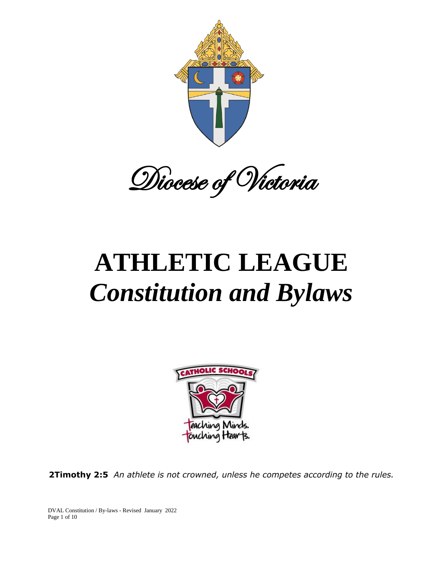

Diocese of Victoria

# **ATHLETIC LEAGUE** *Constitution and Bylaws*



**2Timothy 2:5** *An athlete is not crowned, unless he competes according to the rules.*

DVAL Constitution / By-laws - Revised January 2022 Page 1 of 10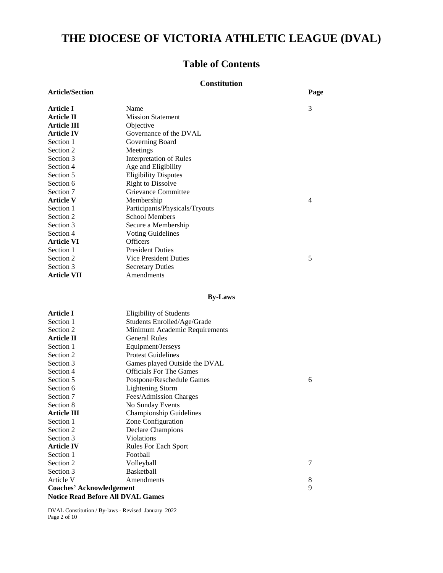# **THE DIOCESE OF VICTORIA ATHLETIC LEAGUE (DVAL)**

# **Table of Contents**

#### **Constitution**

| <b>Article/Section</b> |                                | Page           |
|------------------------|--------------------------------|----------------|
| Article I              | Name                           | 3              |
| <b>Article II</b>      | <b>Mission Statement</b>       |                |
| Article III            | Objective                      |                |
| <b>Article IV</b>      | Governance of the DVAL         |                |
| Section 1              | Governing Board                |                |
| Section 2              | Meetings                       |                |
| Section 3              | Interpretation of Rules        |                |
| Section 4              | Age and Eligibility            |                |
| Section 5              | <b>Eligibility Disputes</b>    |                |
| Section 6              | <b>Right to Dissolve</b>       |                |
| Section 7              | Grievance Committee            |                |
| <b>Article V</b>       | Membership                     | $\overline{4}$ |
| Section 1              | Participants/Physicals/Tryouts |                |
| Section 2              | <b>School Members</b>          |                |
| Section 3              | Secure a Membership            |                |
| Section 4              | <b>Voting Guidelines</b>       |                |
| <b>Article VI</b>      | <b>Officers</b>                |                |
| Section 1              | <b>President Duties</b>        |                |
| Section 2              | Vice President Duties          | 5              |
| Section 3              | <b>Secretary Duties</b>        |                |
| <b>Article VII</b>     | Amendments                     |                |
|                        |                                |                |

#### **By-Laws**

| Article I                                | Eligibility of Students        |   |  |
|------------------------------------------|--------------------------------|---|--|
| Section 1                                | Students Enrolled/Age/Grade    |   |  |
| Section 2                                | Minimum Academic Requirements  |   |  |
| <b>Article II</b>                        | <b>General Rules</b>           |   |  |
| Section 1                                | Equipment/Jerseys              |   |  |
| Section 2                                | <b>Protest Guidelines</b>      |   |  |
| Section 3                                | Games played Outside the DVAL  |   |  |
| Section 4                                | <b>Officials For The Games</b> |   |  |
| Section 5                                | Postpone/Reschedule Games      | 6 |  |
| Section 6                                | <b>Lightening Storm</b>        |   |  |
| Section 7                                | Fees/Admission Charges         |   |  |
| Section 8                                | No Sunday Events               |   |  |
| Article III                              | <b>Championship Guidelines</b> |   |  |
| Section 1                                | Zone Configuration             |   |  |
| Section 2                                | <b>Declare Champions</b>       |   |  |
| Section 3                                | <b>Violations</b>              |   |  |
| <b>Article IV</b>                        | <b>Rules For Each Sport</b>    |   |  |
| Section 1                                | Football                       |   |  |
| Section 2                                | Volleyball                     | 7 |  |
| Section 3                                | <b>Basketball</b>              |   |  |
| Article V                                | Amendments                     | 8 |  |
| <b>Coaches' Acknowledgement</b>          |                                | 9 |  |
| <b>Notice Read Before All DVAL Games</b> |                                |   |  |

DVAL Constitution / By-laws - Revised January 2022 Page 2 of 10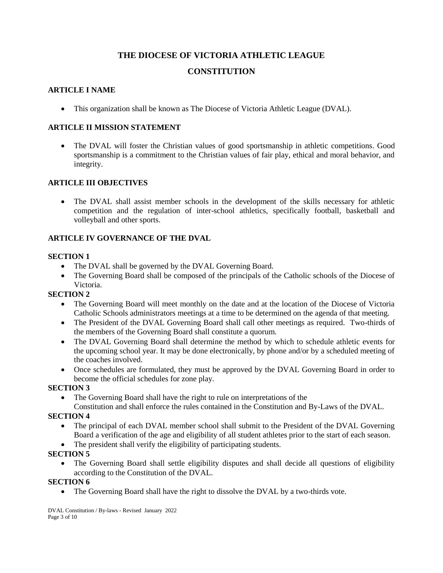# **THE DIOCESE OF VICTORIA ATHLETIC LEAGUE**

# **CONSTITUTION**

#### **ARTICLE I NAME**

This organization shall be known as The Diocese of Victoria Athletic League (DVAL).

## **ARTICLE II MISSION STATEMENT**

• The DVAL will foster the Christian values of good sportsmanship in athletic competitions. Good sportsmanship is a commitment to the Christian values of fair play, ethical and moral behavior, and integrity.

# **ARTICLE III OBJECTIVES**

 The DVAL shall assist member schools in the development of the skills necessary for athletic competition and the regulation of inter-school athletics, specifically football, basketball and volleyball and other sports.

# **ARTICLE IV GOVERNANCE OF THE DVAL**

#### **SECTION 1**

- The DVAL shall be governed by the DVAL Governing Board.
- The Governing Board shall be composed of the principals of the Catholic schools of the Diocese of Victoria.

#### **SECTION 2**

- The Governing Board will meet monthly on the date and at the location of the Diocese of Victoria Catholic Schools administrators meetings at a time to be determined on the agenda of that meeting.
- The President of the DVAL Governing Board shall call other meetings as required. Two-thirds of the members of the Governing Board shall constitute a quorum.
- The DVAL Governing Board shall determine the method by which to schedule athletic events for the upcoming school year. It may be done electronically, by phone and/or by a scheduled meeting of the coaches involved.
- Once schedules are formulated, they must be approved by the DVAL Governing Board in order to become the official schedules for zone play.

#### **SECTION 3**

The Governing Board shall have the right to rule on interpretations of the

Constitution and shall enforce the rules contained in the Constitution and By-Laws of the DVAL.

#### **SECTION 4**

- The principal of each DVAL member school shall submit to the President of the DVAL Governing Board a verification of the age and eligibility of all student athletes prior to the start of each season.
- The president shall verify the eligibility of participating students.

#### **SECTION 5**

 The Governing Board shall settle eligibility disputes and shall decide all questions of eligibility according to the Constitution of the DVAL.

#### **SECTION 6**

The Governing Board shall have the right to dissolve the DVAL by a two-thirds vote.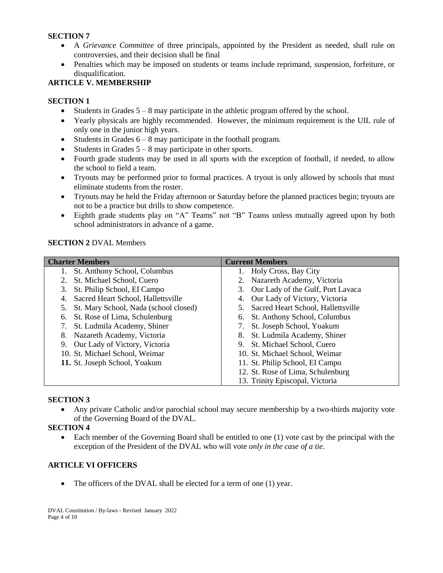#### **SECTION 7**

- A *Grievance Committee* of three principals, appointed by the President as needed, shall rule on controversies, and their decision shall be final
- Penalties which may be imposed on students or teams include reprimand, suspension, forfeiture, or disqualification.

#### **ARTICLE V. MEMBERSHIP**

#### **SECTION 1**

- $\bullet$  Students in Grades  $5 8$  may participate in the athletic program offered by the school.
- Yearly physicals are highly recommended. However, the minimum requirement is the UIL rule of only one in the junior high years.
- Students in Grades  $6 8$  may participate in the football program.
- Students in Grades 5 8 may participate in other sports.
- Fourth grade students may be used in all sports with the exception of football, if needed, to allow the school to field a team.
- Tryouts may be performed prior to formal practices. A tryout is only allowed by schools that must eliminate students from the roster.
- Tryouts may be held the Friday afternoon or Saturday before the planned practices begin; tryouts are not to be a practice but drills to show competence.
- Eighth grade students play on "A" Teams" not "B" Teams unless mutually agreed upon by both school administrators in advance of a game.

#### **SECTION 2** DVAL Members

| <b>Charter Members</b>                      | <b>Current Members</b>                |  |  |
|---------------------------------------------|---------------------------------------|--|--|
| St. Anthony School, Columbus                | Holy Cross, Bay City                  |  |  |
| St. Michael School, Cuero                   | 2. Nazareth Academy, Victoria         |  |  |
| St. Philip School, EI Campo<br>3.           | 3. Our Lady of the Gulf, Port Lavaca  |  |  |
| Sacred Heart School, Hallettsville<br>4.    | 4. Our Lady of Victory, Victoria      |  |  |
| St. Mary School, Nada (school closed)<br>5. | 5. Sacred Heart School, Hallettsville |  |  |
| St. Rose of Lima, Schulenburg<br>6.         | 6. St. Anthony School, Columbus       |  |  |
| St. Ludmila Academy, Shiner<br>7.           | St. Joseph School, Yoakum<br>7.       |  |  |
| Nazareth Academy, Victoria<br>8.            | St. Ludmila Academy, Shiner<br>8.     |  |  |
| Our Lady of Victory, Victoria<br>9.         | 9. St. Michael School, Cuero          |  |  |
| 10. St. Michael School, Weimar              | 10. St. Michael School, Weimar        |  |  |
| 11. St. Joseph School, Yoakum               | 11. St. Philip School, EI Campo       |  |  |
|                                             | 12. St. Rose of Lima, Schulenburg     |  |  |
|                                             | 13. Trinity Episcopal, Victoria       |  |  |

#### **SECTION 3**

 Any private Catholic and/or parochial school may secure membership by a two-thirds majority vote of the Governing Board of the DVAL.

#### **SECTION 4**

 Each member of the Governing Board shall be entitled to one (1) vote cast by the principal with the exception of the President of the DVAL who will vote *only in the case of a tie*.

#### **ARTICLE VI OFFICERS**

• The officers of the DVAL shall be elected for a term of one (1) year.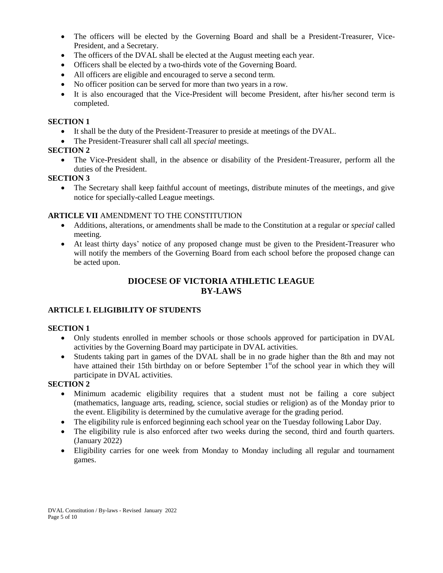- The officers will be elected by the Governing Board and shall be a President-Treasurer, Vice-President, and a Secretary.
- The officers of the DVAL shall be elected at the August meeting each year.
- Officers shall be elected by a two-thirds vote of the Governing Board.
- All officers are eligible and encouraged to serve a second term.
- No officer position can be served for more than two years in a row.
- It is also encouraged that the Vice-President will become President, after his/her second term is completed.

#### **SECTION 1**

- It shall be the duty of the President-Treasurer to preside at meetings of the DVAL.
- The President-Treasurer shall call all *special* meetings.

#### **SECTION 2**

 The Vice-President shall, in the absence or disability of the President-Treasurer, perform all the duties of the President.

#### **SECTION 3**

 The Secretary shall keep faithful account of meetings, distribute minutes of the meetings, and give notice for specially-called League meetings.

### **ARTICLE VII** AMENDMENT TO THE CONSTITUTION

- Additions, alterations, or amendments shall be made to the Constitution at a regular or *special* called meeting.
- At least thirty days' notice of any proposed change must be given to the President-Treasurer who will notify the members of the Governing Board from each school before the proposed change can be acted upon.

### **DIOCESE OF VICTORIA ATHLETIC LEAGUE BY-LAWS**

#### **ARTICLE I. ELIGIBILITY OF STUDENTS**

#### **SECTION 1**

- Only students enrolled in member schools or those schools approved for participation in DVAL activities by the Governing Board may participate in DVAL activities.
- Students taking part in games of the DVAL shall be in no grade higher than the 8th and may not have attained their 15th birthday on or before September  $1<sup>st</sup>$ of the school year in which they will participate in DVAL activities.

#### **SECTION 2**

- Minimum academic eligibility requires that a student must not be failing a core subject (mathematics, language arts, reading, science, social studies or religion) as of the Monday prior to the event. Eligibility is determined by the cumulative average for the grading period.
- The eligibility rule is enforced beginning each school year on the Tuesday following Labor Day.
- The eligibility rule is also enforced after two weeks during the second, third and fourth quarters. (January 2022)
- Eligibility carries for one week from Monday to Monday including all regular and tournament games.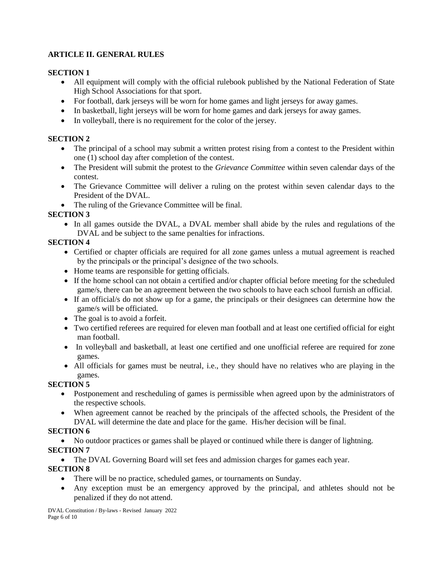## **ARTICLE II. GENERAL RULES**

#### **SECTION 1**

- All equipment will comply with the official rulebook published by the National Federation of State High School Associations for that sport.
- For football, dark jerseys will be worn for home games and light jerseys for away games.
- In basketball, light jerseys will be worn for home games and dark jerseys for away games.
- In volleyball, there is no requirement for the color of the jersey.

#### **SECTION 2**

- The principal of a school may submit a written protest rising from a contest to the President within one (1) school day after completion of the contest.
- The President will submit the protest to the *Grievance Committee* within seven calendar days of the contest.
- The Grievance Committee will deliver a ruling on the protest within seven calendar days to the President of the DVAL.
- The ruling of the Grievance Committee will be final.

#### **SECTION 3**

 In all games outside the DVAL, a DVAL member shall abide by the rules and regulations of the DVAL and be subject to the same penalties for infractions.

### **SECTION 4**

- Certified or chapter officials are required for all zone games unless a mutual agreement is reached by the principals or the principal's designee of the two schools.
- Home teams are responsible for getting officials.
- If the home school can not obtain a certified and/or chapter official before meeting for the scheduled game/s, there can be an agreement between the two schools to have each school furnish an official.
- If an official/s do not show up for a game, the principals or their designees can determine how the game/s will be officiated.
- The goal is to avoid a forfeit.
- Two certified referees are required for eleven man football and at least one certified official for eight man football.
- In volleyball and basketball, at least one certified and one unofficial referee are required for zone games.
- All officials for games must be neutral, i.e., they should have no relatives who are playing in the games.

# **SECTION 5**

- Postponement and rescheduling of games is permissible when agreed upon by the administrators of the respective schools.
- When agreement cannot be reached by the principals of the affected schools, the President of the DVAL will determine the date and place for the game. His/her decision will be final.

# **SECTION 6**

No outdoor practices or games shall be played or continued while there is danger of lightning.

# **SECTION 7**

The DVAL Governing Board will set fees and admission charges for games each year.

# **SECTION 8**

- There will be no practice, scheduled games, or tournaments on Sunday.
- Any exception must be an emergency approved by the principal, and athletes should not be penalized if they do not attend.

DVAL Constitution / By-laws - Revised January 2022 Page 6 of 10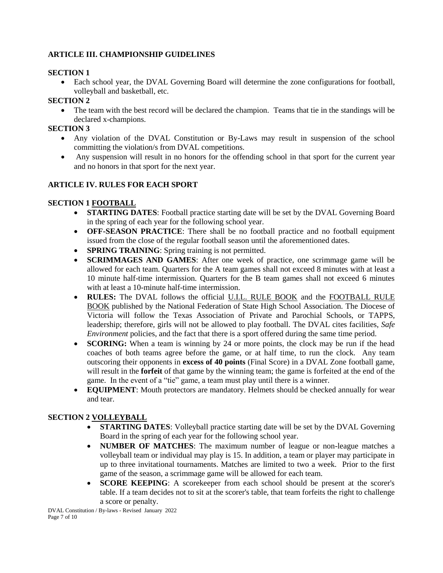### **ARTICLE III. CHAMPIONSHIP GUIDELINES**

#### **SECTION 1**

 Each school year, the DVAL Governing Board will determine the zone configurations for football, volleyball and basketball, etc.

#### **SECTION 2**

• The team with the best record will be declared the champion. Teams that tie in the standings will be declared x-champions.

#### **SECTION 3**

- Any violation of the DVAL Constitution or By-Laws may result in suspension of the school committing the violation/s from DVAL competitions.
- Any suspension will result in no honors for the offending school in that sport for the current year and no honors in that sport for the next year.

#### **ARTICLE IV. RULES FOR EACH SPORT**

#### **SECTION 1 FOOTBALL**

- **STARTING DATES**: Football practice starting date will be set by the DVAL Governing Board in the spring of each year for the following school year.
- **OFF-SEASON PRACTICE**: There shall be no football practice and no football equipment issued from the close of the regular football season until the aforementioned dates.
- **SPRING TRAINING:** Spring training is not permitted.
- **SCRIMMAGES AND GAMES**: After one week of practice, one scrimmage game will be allowed for each team. Quarters for the A team games shall not exceed 8 minutes with at least a 10 minute half-time intermission. Quarters for the B team games shall not exceed 6 minutes with at least a 10-minute half-time intermission.
- **RULES:** The DVAL follows the official U.I.L. RULE BOOK and the FOOTBALL RULE BOOK published by the National Federation of State High School Association. The Diocese of Victoria will follow the Texas Association of Private and Parochial Schools, or TAPPS, leadership; therefore, girls will not be allowed to play football. The DVAL cites facilities, *Safe Environment* policies, and the fact that there is a sport offered during the same time period.
- **SCORING:** When a team is winning by 24 or more points, the clock may be run if the head coaches of both teams agree before the game, or at half time, to run the clock. Any team outscoring their opponents in **excess of 40 points** (Final Score) in a DVAL Zone football game, will result in the **forfeit** of that game by the winning team; the game is forfeited at the end of the game. In the event of a "tie" game, a team must play until there is a winner.
- **EQUIPMENT**: Mouth protectors are mandatory. Helmets should be checked annually for wear and tear.

#### **SECTION 2 VOLLEYBALL**

- **STARTING DATES:** Volleyball practice starting date will be set by the DVAL Governing Board in the spring of each year for the following school year.
- **NUMBER OF MATCHES**: The maximum number of league or non-league matches a volleyball team or individual may play is 15. In addition, a team or player may participate in up to three invitational tournaments. Matches are limited to two a week. Prior to the first game of the season, a scrimmage game will be allowed for each team.
- **SCORE KEEPING**: A scorekeeper from each school should be present at the scorer's table. If a team decides not to sit at the scorer's table, that team forfeits the right to challenge a score or penalty.

DVAL Constitution / By-laws - Revised January 2022 Page 7 of 10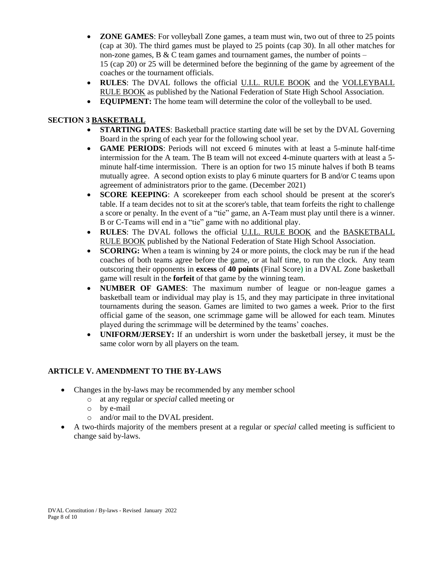- **ZONE GAMES**: For volleyball Zone games, a team must win, two out of three to 25 points (cap at 30). The third games must be played to 25 points (cap 30). In all other matches for non-zone games,  $B \& C$  team games and tournament games, the number of points – 15 (cap 20) or 25 will be determined before the beginning of the game by agreement of the coaches or the tournament officials.
- **RULES**: The DVAL follows the official U.I.L. RULE BOOK and the VOLLEYBALL RULE BOOK as published by the National Federation of State High School Association.
- **EQUIPMENT:** The home team will determine the color of the volleyball to be used.

#### **SECTION 3 BASKETBALL**

- **STARTING DATES**: Basketball practice starting date will be set by the DVAL Governing Board in the spring of each year for the following school year.
- **GAME PERIODS**: Periods will not exceed 6 minutes with at least a 5-minute half-time intermission for the A team. The B team will not exceed 4-minute quarters with at least a 5 minute half-time intermission. There is an option for two 15 minute halves if both B teams mutually agree. A second option exists to play 6 minute quarters for B and/or C teams upon agreement of administrators prior to the game. (December 2021)
- **SCORE KEEPING**: A scorekeeper from each school should be present at the scorer's table. If a team decides not to sit at the scorer's table, that team forfeits the right to challenge a score or penalty. In the event of a "tie" game, an A-Team must play until there is a winner. B or C-Teams will end in a "tie" game with no additional play.
- **RULES**: The DVAL follows the official U.I.L. RULE BOOK and the BASKETBALL RULE BOOK published by the National Federation of State High School Association.
- **SCORING:** When a team is winning by 24 or more points, the clock may be run if the head coaches of both teams agree before the game, or at half time, to run the clock. Any team outscoring their opponents in **excess** of **40 points** (Final Score**)** in a DVAL Zone basketball game will result in the **forfeit** of that game by the winning team.
- **NUMBER OF GAMES**: The maximum number of league or non-league games a basketball team or individual may play is 15, and they may participate in three invitational tournaments during the season. Games are limited to two games a week. Prior to the first official game of the season, one scrimmage game will be allowed for each team. Minutes played during the scrimmage will be determined by the teams' coaches.
- **UNIFORM/JERSEY:** If an undershirt is worn under the basketball jersey, it must be the same color worn by all players on the team.

#### **ARTICLE V. AMENDMENT TO THE BY-LAWS**

- Changes in the by-laws may be recommended by any member school
	- o at any regular or *special* called meeting or
	- o by e-mail
	- o and/or mail to the DVAL president.
- A two-thirds majority of the members present at a regular or *special* called meeting is sufficient to change said by-laws.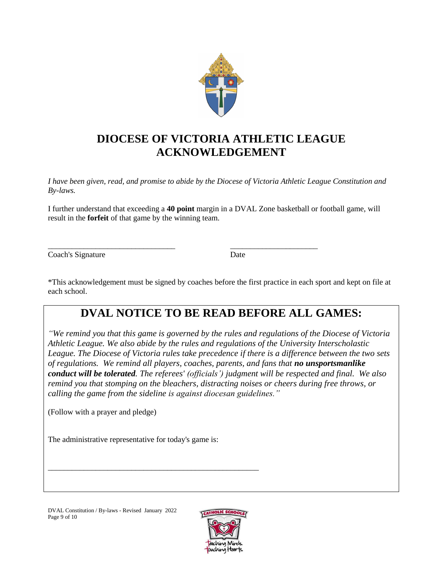

# **DIOCESE OF VICTORIA ATHLETIC LEAGUE ACKNOWLEDGEMENT**

*I have been given, read, and promise to abide by the Diocese of Victoria Athletic League Constitution and By-laws.* 

I further understand that exceeding a **40 point** margin in a DVAL Zone basketball or football game, will result in the **forfeit** of that game by the winning team.

\_\_\_\_\_\_\_\_\_\_\_\_\_\_\_\_\_\_\_\_\_\_\_\_\_\_\_\_\_\_\_\_ \_\_\_\_\_\_\_\_\_\_\_\_\_\_\_\_\_\_\_\_\_\_

Coach's Signature Date

\*This acknowledgement must be signed by coaches before the first practice in each sport and kept on file at each school.

# **DVAL NOTICE TO BE READ BEFORE ALL GAMES:**

*"We remind you that this game is governed by the rules and regulations of the Diocese of Victoria Athletic League. We also abide by the rules and regulations of the University Interscholastic League. The Diocese of Victoria rules take precedence if there is a difference between the two sets of regulations. We remind all players, coaches, parents, and fans that no unsportsmanlike conduct will be tolerated. The referees' (officials') judgment will be respected and final. We also remind you that stomping on the bleachers, distracting noises or cheers during free throws, or calling the game from the sideline is against diocesan guidelines."*

(Follow with a prayer and pledge)

The administrative representative for today's game is:

\_\_\_\_\_\_\_\_\_\_\_\_\_\_\_\_\_\_\_\_\_\_\_\_\_\_\_\_\_\_\_\_\_\_\_\_\_\_\_\_\_\_\_\_\_\_\_\_\_\_\_\_\_